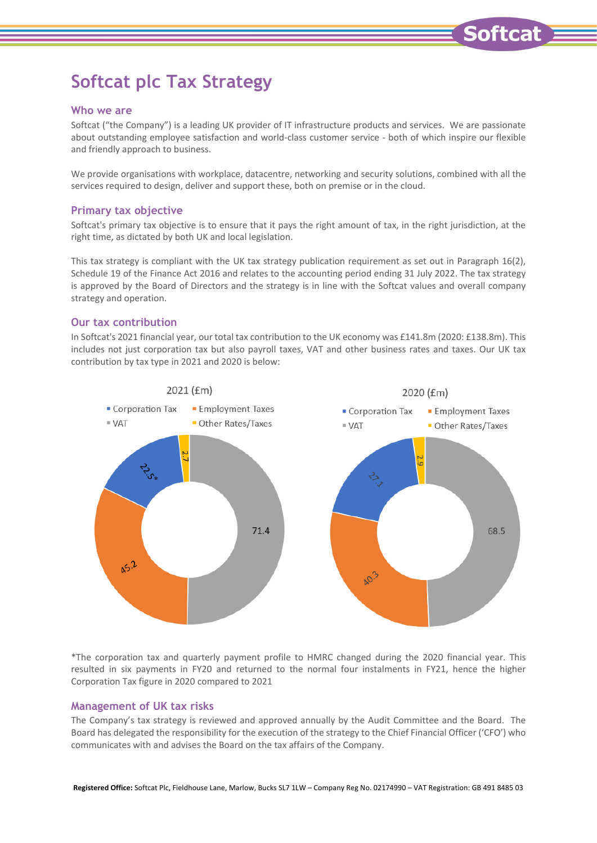# **Softcat plc Tax Strategy**

## **Who we are**

Softcat ("the Company") is a leading UK provider of IT infrastructure products and services. We are passionate about outstanding employee satisfaction and world-class customer service - both of which inspire our flexible and friendly approach to business.

We provide organisations with workplace, datacentre, networking and security solutions, combined with all the services required to design, deliver and support these, both on premise or in the cloud.

## **Primary tax objective**

Softcat's primary tax objective is to ensure that it pays the right amount of tax, in the right jurisdiction, at the right time, as dictated by both UK and local legislation.

This tax strategy is compliant with the UK tax strategy publication requirement as set out in Paragraph 16(2), Schedule 19 of the Finance Act 2016 and relates to the accounting period ending 31 July 2022. The tax strategy is approved by the Board of Directors and the strategy is in line with the Softcat values and overall company strategy and operation.

# **Our tax contribution**

In Softcat's 2021 financial year, our total tax contribution to the UK economy was £141.8m (2020: £138.8m). This includes not just corporation tax but also payroll taxes, VAT and other business rates and taxes. Our UK tax contribution by tax type in 2021 and 2020 is below:



\*The corporation tax and quarterly payment profile to HMRC changed during the 2020 financial year. This resulted in six payments in FY20 and returned to the normal four instalments in FY21, hence the higher Corporation Tax figure in 2020 compared to 2021

# **Management of UK tax risks**

The Company's tax strategy is reviewed and approved annually by the Audit Committee and the Board. The Board has delegated the responsibility for the execution of the strategy to the Chief Financial Officer ('CFO') who communicates with and advises the Board on the tax affairs of the Company.